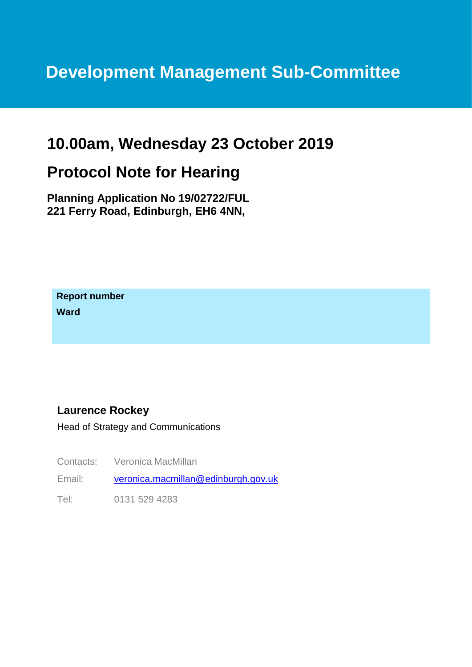# **Development Management Sub-Committee**

## **10.00am, Wednesday 23 October 2019**

## **Protocol Note for Hearing**

**Planning Application No 19/02722/FUL 221 Ferry Road, Edinburgh, EH6 4NN,**

**Report number Ward**

#### **Laurence Rockey**

Head of Strategy and Communications

Contacts: Veronica MacMillan

Email: [veronica.macmillan@edinburgh.gov.uk](mailto:veronica.macmillan@edinburgh.gov.uk)

Tel: 0131 529 4283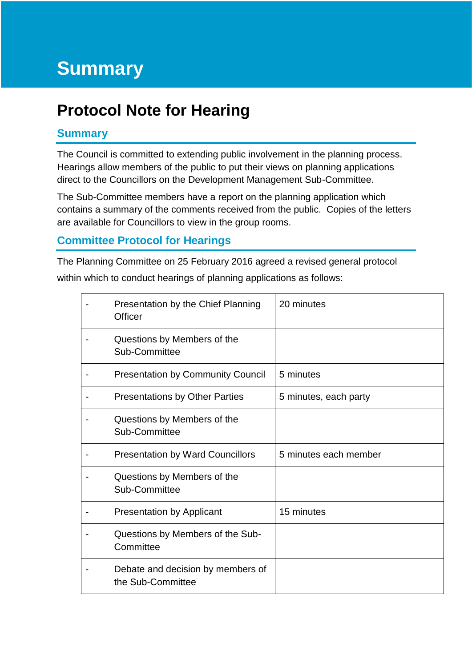# **Protocol Note for Hearing**

### **Summary**

The Council is committed to extending public involvement in the planning process. Hearings allow members of the public to put their views on planning applications direct to the Councillors on the Development Management Sub-Committee.

The Sub-Committee members have a report on the planning application which contains a summary of the comments received from the public. Copies of the letters are available for Councillors to view in the group rooms.

### **Committee Protocol for Hearings**

The Planning Committee on 25 February 2016 agreed a revised general protocol

within which to conduct hearings of planning applications as follows:

| Presentation by the Chief Planning<br>Officer          | 20 minutes            |
|--------------------------------------------------------|-----------------------|
| Questions by Members of the<br>Sub-Committee           |                       |
| <b>Presentation by Community Council</b>               | 5 minutes             |
| <b>Presentations by Other Parties</b>                  | 5 minutes, each party |
| Questions by Members of the<br>Sub-Committee           |                       |
| <b>Presentation by Ward Councillors</b>                | 5 minutes each member |
| Questions by Members of the<br>Sub-Committee           |                       |
| <b>Presentation by Applicant</b>                       | 15 minutes            |
| Questions by Members of the Sub-<br>Committee          |                       |
| Debate and decision by members of<br>the Sub-Committee |                       |